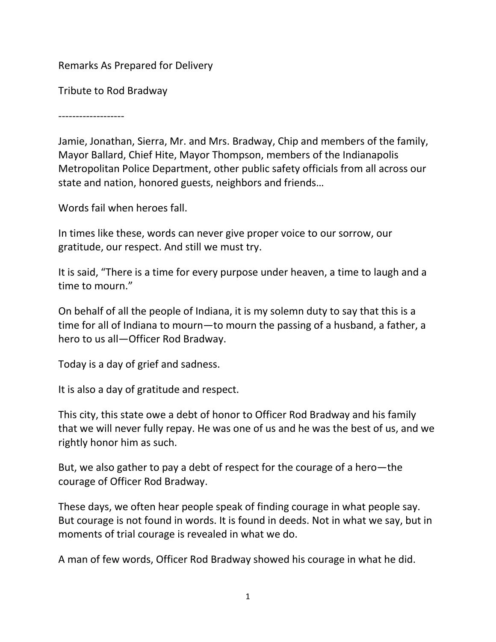Remarks As Prepared for Delivery

Tribute to Rod Bradway

-------------------

Jamie, Jonathan, Sierra, Mr. and Mrs. Bradway, Chip and members of the family, Mayor Ballard, Chief Hite, Mayor Thompson, members of the Indianapolis Metropolitan Police Department, other public safety officials from all across our state and nation, honored guests, neighbors and friends…

Words fail when heroes fall.

In times like these, words can never give proper voice to our sorrow, our gratitude, our respect. And still we must try.

It is said, "There is a time for every purpose under heaven, a time to laugh and a time to mourn."

On behalf of all the people of Indiana, it is my solemn duty to say that this is a time for all of Indiana to mourn—to mourn the passing of a husband, a father, a hero to us all—Officer Rod Bradway.

Today is a day of grief and sadness.

It is also a day of gratitude and respect.

This city, this state owe a debt of honor to Officer Rod Bradway and his family that we will never fully repay. He was one of us and he was the best of us, and we rightly honor him as such.

But, we also gather to pay a debt of respect for the courage of a hero—the courage of Officer Rod Bradway.

These days, we often hear people speak of finding courage in what people say. But courage is not found in words. It is found in deeds. Not in what we say, but in moments of trial courage is revealed in what we do.

A man of few words, Officer Rod Bradway showed his courage in what he did.